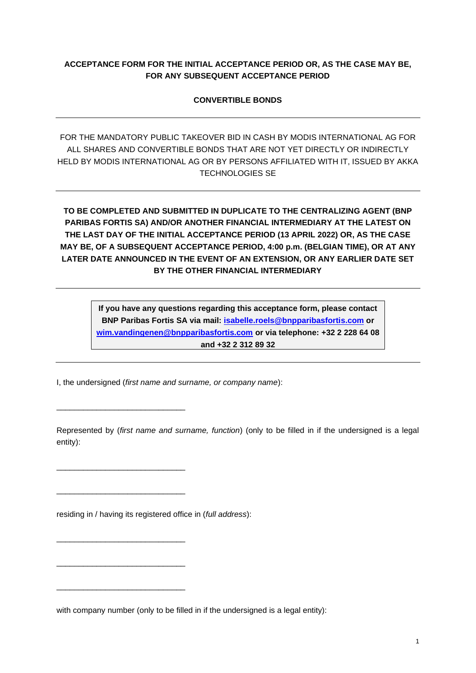## **ACCEPTANCE FORM FOR THE INITIAL ACCEPTANCE PERIOD OR, AS THE CASE MAY BE, FOR ANY SUBSEQUENT ACCEPTANCE PERIOD**

## **CONVERTIBLE BONDS**

FOR THE MANDATORY PUBLIC TAKEOVER BID IN CASH BY MODIS INTERNATIONAL AG FOR ALL SHARES AND CONVERTIBLE BONDS THAT ARE NOT YET DIRECTLY OR INDIRECTLY HELD BY MODIS INTERNATIONAL AG OR BY PERSONS AFFILIATED WITH IT, ISSUED BY AKKA TECHNOLOGIES SE

**TO BE COMPLETED AND SUBMITTED IN DUPLICATE TO THE CENTRALIZING AGENT (BNP PARIBAS FORTIS SA) AND/OR ANOTHER FINANCIAL INTERMEDIARY AT THE LATEST ON THE LAST DAY OF THE INITIAL ACCEPTANCE PERIOD (13 APRIL 2022) OR, AS THE CASE MAY BE, OF A SUBSEQUENT ACCEPTANCE PERIOD, 4:00 p.m. (BELGIAN TIME), OR AT ANY LATER DATE ANNOUNCED IN THE EVENT OF AN EXTENSION, OR ANY EARLIER DATE SET BY THE OTHER FINANCIAL INTERMEDIARY**

> **If you have any questions regarding this acceptance form, please contact BNP Paribas Fortis SA via mail: [isabelle.roels@bnpparibasfortis.com](mailto:isabelle.roels@bnpparibasfortis.com) or [wim.vandingenen@bnpparibasfortis.com](mailto:wim.vandingenen@bnpparibasfortis.com) or via telephone: +32 2 228 64 08 and +32 2 312 89 32**

I, the undersigned (*first name and surname, or company name*):

\_\_\_\_\_\_\_\_\_\_\_\_\_\_\_\_\_\_\_\_\_\_\_\_\_\_\_\_\_

\_\_\_\_\_\_\_\_\_\_\_\_\_\_\_\_\_\_\_\_\_\_\_\_\_\_\_\_\_

\_\_\_\_\_\_\_\_\_\_\_\_\_\_\_\_\_\_\_\_\_\_\_\_\_\_\_\_\_

\_\_\_\_\_\_\_\_\_\_\_\_\_\_\_\_\_\_\_\_\_\_\_\_\_\_\_\_\_

\_\_\_\_\_\_\_\_\_\_\_\_\_\_\_\_\_\_\_\_\_\_\_\_\_\_\_\_\_

\_\_\_\_\_\_\_\_\_\_\_\_\_\_\_\_\_\_\_\_\_\_\_\_\_\_\_\_\_

Represented by (*first name and surname, function*) (only to be filled in if the undersigned is a legal entity):

residing in / having its registered office in (*full address*):

with company number (only to be filled in if the undersigned is a legal entity):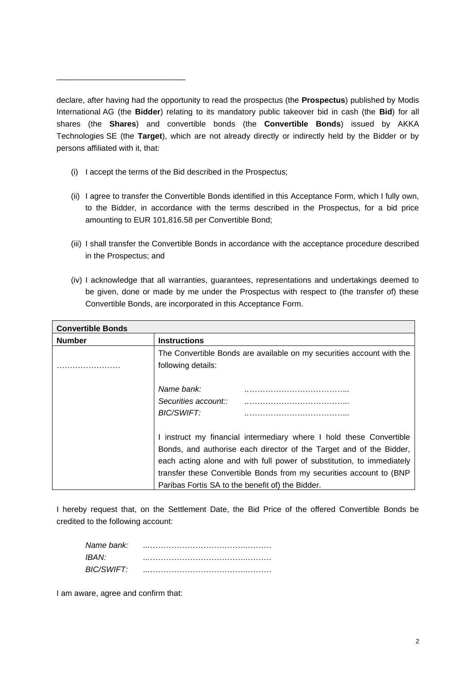declare, after having had the opportunity to read the prospectus (the **Prospectus**) published by Modis International AG (the **Bidder**) relating to its mandatory public takeover bid in cash (the **Bid**) for all shares (the **Shares**) and convertible bonds (the **Convertible Bonds**) issued by AKKA Technologies SE (the **Target**), which are not already directly or indirectly held by the Bidder or by persons affiliated with it, that:

(i) I accept the terms of the Bid described in the Prospectus;

\_\_\_\_\_\_\_\_\_\_\_\_\_\_\_\_\_\_\_\_\_\_\_\_\_\_\_\_\_

- (ii) I agree to transfer the Convertible Bonds identified in this Acceptance Form, which I fully own, to the Bidder, in accordance with the terms described in the Prospectus, for a bid price amounting to EUR 101,816.58 per Convertible Bond;
- (iii) I shall transfer the Convertible Bonds in accordance with the acceptance procedure described in the Prospectus; and
- (iv) I acknowledge that all warranties, guarantees, representations and undertakings deemed to be given, done or made by me under the Prospectus with respect to (the transfer of) these Convertible Bonds, are incorporated in this Acceptance Form.

| <b>Convertible Bonds</b> |                                                                       |
|--------------------------|-----------------------------------------------------------------------|
| <b>Number</b>            | <b>Instructions</b>                                                   |
|                          | The Convertible Bonds are available on my securities account with the |
|                          | following details:                                                    |
|                          |                                                                       |
|                          | Name bank:                                                            |
|                          | Securities account::                                                  |
|                          | BIC/SWIFT:                                                            |
|                          |                                                                       |
|                          | I instruct my financial intermediary where I hold these Convertible   |
|                          | Bonds, and authorise each director of the Target and of the Bidder,   |
|                          | each acting alone and with full power of substitution, to immediately |
|                          | transfer these Convertible Bonds from my securities account to (BNP   |
|                          | Paribas Fortis SA to the benefit of) the Bidder.                      |

I hereby request that, on the Settlement Date, the Bid Price of the offered Convertible Bonds be credited to the following account:

| Name bank:        |  |
|-------------------|--|
| IBAN <sup>.</sup> |  |
| BIC/SWIFT:        |  |

I am aware, agree and confirm that: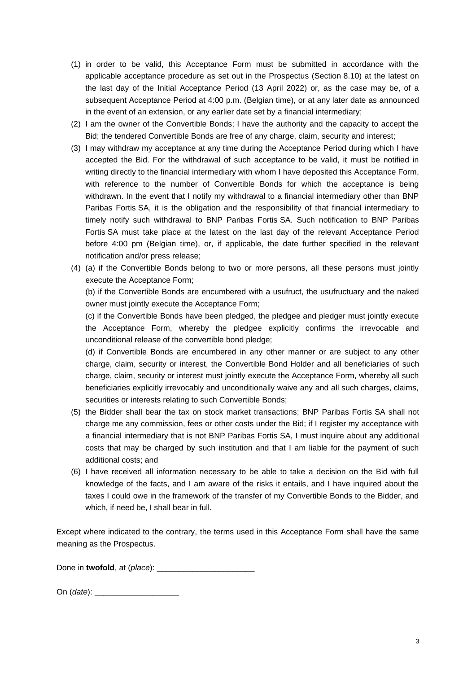- (1) in order to be valid, this Acceptance Form must be submitted in accordance with the applicable acceptance procedure as set out in the Prospectus (Section 8.10) at the latest on the last day of the Initial Acceptance Period (13 April 2022) or, as the case may be, of a subsequent Acceptance Period at 4:00 p.m. (Belgian time), or at any later date as announced in the event of an extension, or any earlier date set by a financial intermediary;
- (2) I am the owner of the Convertible Bonds; I have the authority and the capacity to accept the Bid; the tendered Convertible Bonds are free of any charge, claim, security and interest;
- (3) I may withdraw my acceptance at any time during the Acceptance Period during which I have accepted the Bid. For the withdrawal of such acceptance to be valid, it must be notified in writing directly to the financial intermediary with whom I have deposited this Acceptance Form, with reference to the number of Convertible Bonds for which the acceptance is being withdrawn. In the event that I notify my withdrawal to a financial intermediary other than BNP Paribas Fortis SA, it is the obligation and the responsibility of that financial intermediary to timely notify such withdrawal to BNP Paribas Fortis SA. Such notification to BNP Paribas Fortis SA must take place at the latest on the last day of the relevant Acceptance Period before 4:00 pm (Belgian time), or, if applicable, the date further specified in the relevant notification and/or press release;
- (4) (a) if the Convertible Bonds belong to two or more persons, all these persons must jointly execute the Acceptance Form;

(b) if the Convertible Bonds are encumbered with a usufruct, the usufructuary and the naked owner must jointly execute the Acceptance Form;

(c) if the Convertible Bonds have been pledged, the pledgee and pledger must jointly execute the Acceptance Form, whereby the pledgee explicitly confirms the irrevocable and unconditional release of the convertible bond pledge;

(d) if Convertible Bonds are encumbered in any other manner or are subject to any other charge, claim, security or interest, the Convertible Bond Holder and all beneficiaries of such charge, claim, security or interest must jointly execute the Acceptance Form, whereby all such beneficiaries explicitly irrevocably and unconditionally waive any and all such charges, claims, securities or interests relating to such Convertible Bonds;

- (5) the Bidder shall bear the tax on stock market transactions; BNP Paribas Fortis SA shall not charge me any commission, fees or other costs under the Bid; if I register my acceptance with a financial intermediary that is not BNP Paribas Fortis SA, I must inquire about any additional costs that may be charged by such institution and that I am liable for the payment of such additional costs; and
- (6) I have received all information necessary to be able to take a decision on the Bid with full knowledge of the facts, and I am aware of the risks it entails, and I have inquired about the taxes I could owe in the framework of the transfer of my Convertible Bonds to the Bidder, and which, if need be, I shall bear in full.

Except where indicated to the contrary, the terms used in this Acceptance Form shall have the same meaning as the Prospectus.

Done in **twofold**, at (*place*): \_\_\_\_\_\_\_\_\_\_\_\_\_\_\_\_\_\_\_\_\_\_

On (*date*):